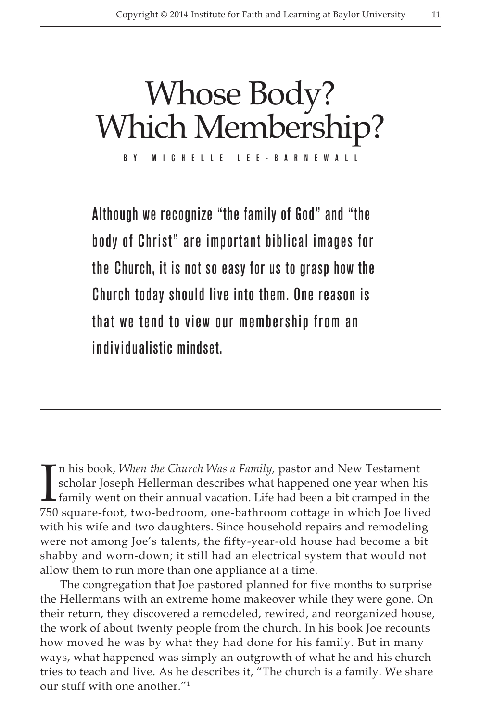# Whose Body? Which Membership?

By Michelle L ee-Barnewall

Although we recognize "the family of God" and "the body of Christ" are important biblical images for the Church, it is not so easy for us to grasp how the Church today should live into them. One reason is that we tend to view our membership from an individualistic mindset.

In his book, *When the Church Was a Family*, pastor and New Testament<br>scholar Joseph Hellerman describes what happened one year when his<br>family went on their annual vacation. Life had been a bit cramped in the<br>750 square f n his book, *When the Church Was a Family,* pastor and New Testament scholar Joseph Hellerman describes what happened one year when his 750 square-foot, two-bedroom, one-bathroom cottage in which Joe lived with his wife and two daughters. Since household repairs and remodeling were not among Joe's talents, the fifty-year-old house had become a bit shabby and worn-down; it still had an electrical system that would not allow them to run more than one appliance at a time.

The congregation that Joe pastored planned for five months to surprise the Hellermans with an extreme home makeover while they were gone. On their return, they discovered a remodeled, rewired, and reorganized house, the work of about twenty people from the church. In his book Joe recounts how moved he was by what they had done for his family. But in many ways, what happened was simply an outgrowth of what he and his church tries to teach and live. As he describes it, "The church is a family. We share our stuff with one another."1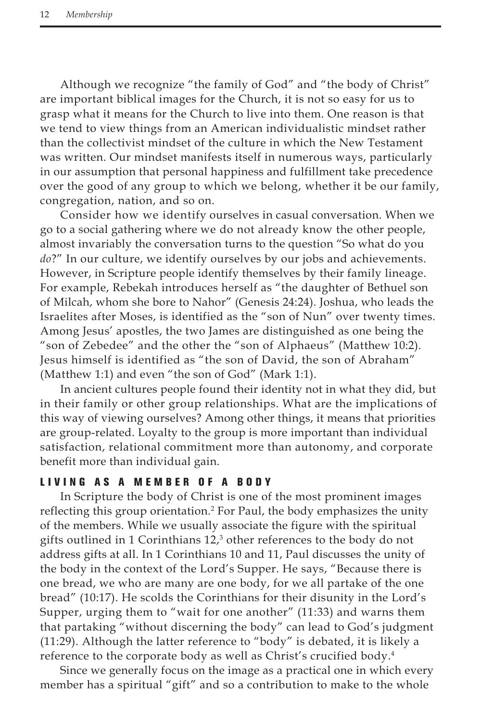Although we recognize "the family of God" and "the body of Christ" are important biblical images for the Church, it is not so easy for us to grasp what it means for the Church to live into them. One reason is that we tend to view things from an American individualistic mindset rather than the collectivist mindset of the culture in which the New Testament was written. Our mindset manifests itself in numerous ways, particularly in our assumption that personal happiness and fulfillment take precedence over the good of any group to which we belong, whether it be our family, congregation, nation, and so on.

Consider how we identify ourselves in casual conversation. When we go to a social gathering where we do not already know the other people, almost invariably the conversation turns to the question "So what do you *do*?" In our culture, we identify ourselves by our jobs and achievements. However, in Scripture people identify themselves by their family lineage. For example, Rebekah introduces herself as "the daughter of Bethuel son of Milcah, whom she bore to Nahor" (Genesis 24:24). Joshua, who leads the Israelites after Moses, is identified as the "son of Nun" over twenty times. Among Jesus' apostles, the two James are distinguished as one being the "son of Zebedee" and the other the "son of Alphaeus" (Matthew 10:2). Jesus himself is identified as "the son of David, the son of Abraham" (Matthew 1:1) and even "the son of God" (Mark 1:1).

In ancient cultures people found their identity not in what they did, but in their family or other group relationships. What are the implications of this way of viewing ourselves? Among other things, it means that priorities are group-related. Loyalty to the group is more important than individual satisfaction, relational commitment more than autonomy, and corporate benefit more than individual gain.

## Living as a Me m ber of a B ody

In Scripture the body of Christ is one of the most prominent images reflecting this group orientation.<sup>2</sup> For Paul, the body emphasizes the unity of the members. While we usually associate the figure with the spiritual gifts outlined in 1 Corinthians 12,3 other references to the body do not address gifts at all. In 1 Corinthians 10 and 11, Paul discusses the unity of the body in the context of the Lord's Supper. He says, "Because there is one bread, we who are many are one body, for we all partake of the one bread" (10:17). He scolds the Corinthians for their disunity in the Lord's Supper, urging them to "wait for one another" (11:33) and warns them that partaking "without discerning the body" can lead to God's judgment (11:29). Although the latter reference to "body" is debated, it is likely a reference to the corporate body as well as Christ's crucified body.<sup>4</sup>

Since we generally focus on the image as a practical one in which every member has a spiritual "gift" and so a contribution to make to the whole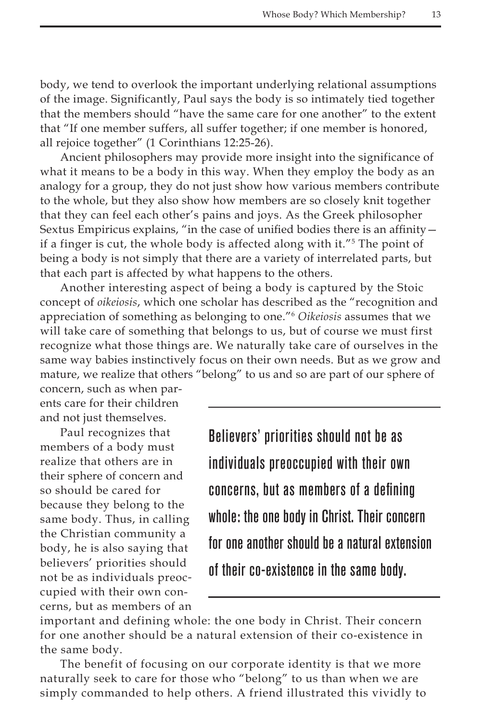body, we tend to overlook the important underlying relational assumptions of the image. Significantly, Paul says the body is so intimately tied together that the members should "have the same care for one another" to the extent that "If one member suffers, all suffer together; if one member is honored, all rejoice together" (1 Corinthians 12:25-26).

Ancient philosophers may provide more insight into the significance of what it means to be a body in this way. When they employ the body as an analogy for a group, they do not just show how various members contribute to the whole, but they also show how members are so closely knit together that they can feel each other's pains and joys. As the Greek philosopher Sextus Empiricus explains, "in the case of unified bodies there is an affinity if a finger is cut, the whole body is affected along with it."<sup>5</sup> The point of being a body is not simply that there are a variety of interrelated parts, but that each part is affected by what happens to the others.

Another interesting aspect of being a body is captured by the Stoic concept of *oikeiosis*, which one scholar has described as the "recognition and appreciation of something as belonging to one."6 *Oikeiosis* assumes that we will take care of something that belongs to us, but of course we must first recognize what those things are. We naturally take care of ourselves in the same way babies instinctively focus on their own needs. But as we grow and mature, we realize that others "belong" to us and so are part of our sphere of

concern, such as when parents care for their children and not just themselves.

Paul recognizes that members of a body must realize that others are in their sphere of concern and so should be cared for because they belong to the same body. Thus, in calling the Christian community a body, he is also saying that believers' priorities should not be as individuals preoccupied with their own concerns, but as members of an Believers' priorities should not be as individuals preoccupied with their own concerns, but as members of a defining whole: the one body in Christ. Their concern for one another should be a natural extension of their co-existence in the same body.

important and defining whole: the one body in Christ. Their concern for one another should be a natural extension of their co-existence in the same body.

The benefit of focusing on our corporate identity is that we more naturally seek to care for those who "belong" to us than when we are simply commanded to help others. A friend illustrated this vividly to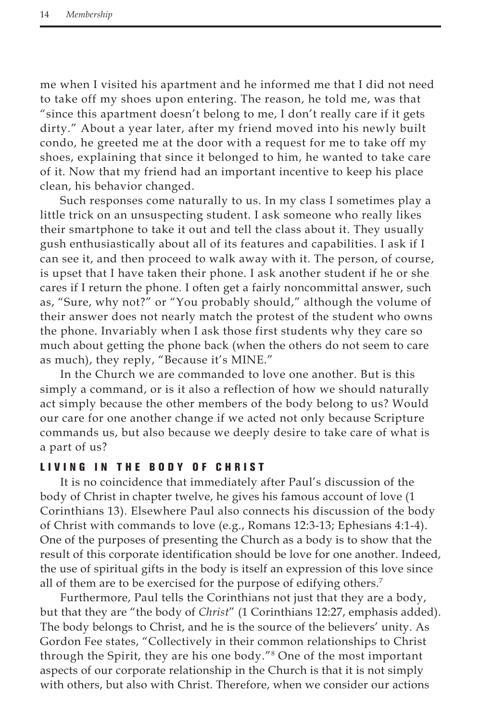me when I visited his apartment and he informed me that I did not need to take off my shoes upon entering. The reason, he told me, was that "since this apartment doesn't belong to me, I don't really care if it gets dirty." About a year later, after my friend moved into his newly built condo, he greeted me at the door with a request for me to take off my shoes, explaining that since it belonged to him, he wanted to take care of it. Now that my friend had an important incentive to keep his place clean, his behavior changed.

Such responses come naturally to us. In my class I sometimes play a little trick on an unsuspecting student. I ask someone who really likes their smartphone to take it out and tell the class about it. They usually gush enthusiastically about all of its features and capabilities. I ask if I can see it, and then proceed to walk away with it. The person, of course, is upset that I have taken their phone. I ask another student if he or she cares if I return the phone. I often get a fairly noncommittal answer, such as, "Sure, why not?" or "You probably should," although the volume of their answer does not nearly match the protest of the student who owns the phone. Invariably when I ask those first students why they care so much about getting the phone back (when the others do not seem to care as much), they reply, "Because it's MINE."

In the Church we are commanded to love one another. But is this simply a command, or is it also a reflection of how we should naturally act simply because the other members of the body belong to us? Would our care for one another change if we acted not only because Scripture commands us, but also because we deeply desire to take care of what is a part of us?

### Living in the B ody of Christ

It is no coincidence that immediately after Paul's discussion of the body of Christ in chapter twelve, he gives his famous account of love (1 Corinthians 13). Elsewhere Paul also connects his discussion of the body of Christ with commands to love (e.g., Romans 12:3-13; Ephesians 4:1-4). One of the purposes of presenting the Church as a body is to show that the result of this corporate identification should be love for one another. Indeed, the use of spiritual gifts in the body is itself an expression of this love since all of them are to be exercised for the purpose of edifying others.<sup>7</sup>

Furthermore, Paul tells the Corinthians not just that they are a body, but that they are "the body of *Christ*" (1 Corinthians 12:27, emphasis added). The body belongs to Christ, and he is the source of the believers' unity. As Gordon Fee states, "Collectively in their common relationships to Christ through the Spirit, they are his one body."8 One of the most important aspects of our corporate relationship in the Church is that it is not simply with others, but also with Christ. Therefore, when we consider our actions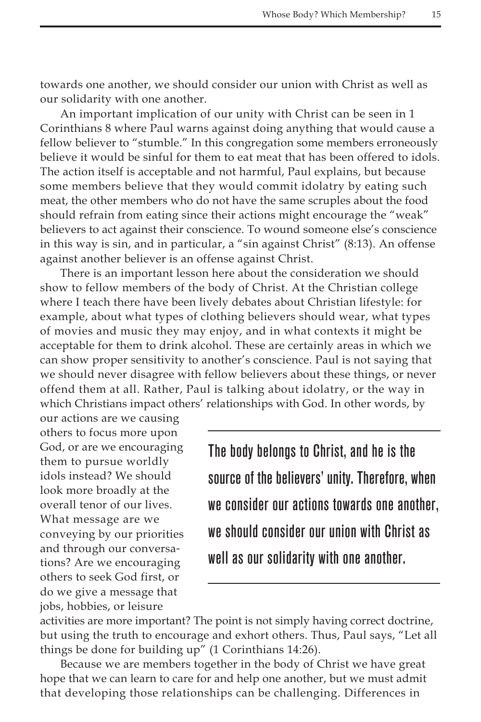towards one another, we should consider our union with Christ as well as our solidarity with one another.

An important implication of our unity with Christ can be seen in 1 Corinthians 8 where Paul warns against doing anything that would cause a fellow believer to "stumble." In this congregation some members erroneously believe it would be sinful for them to eat meat that has been offered to idols. The action itself is acceptable and not harmful, Paul explains, but because some members believe that they would commit idolatry by eating such meat, the other members who do not have the same scruples about the food should refrain from eating since their actions might encourage the "weak" believers to act against their conscience. To wound someone else's conscience in this way is sin, and in particular, a "sin against Christ" (8:13). An offense against another believer is an offense against Christ.

There is an important lesson here about the consideration we should show to fellow members of the body of Christ. At the Christian college where I teach there have been lively debates about Christian lifestyle: for example, about what types of clothing believers should wear, what types of movies and music they may enjoy, and in what contexts it might be acceptable for them to drink alcohol. These are certainly areas in which we can show proper sensitivity to another's conscience. Paul is not saying that we should never disagree with fellow believers about these things, or never offend them at all. Rather, Paul is talking about idolatry, or the way in which Christians impact others' relationships with God. In other words, by

our actions are we causing others to focus more upon God, or are we encouraging them to pursue worldly idols instead? We should look more broadly at the overall tenor of our lives. What message are we conveying by our priorities and through our conversations? Are we encouraging others to seek God first, or do we give a message that jobs, hobbies, or leisure

The body belongs to Christ, and he is the source of the believers' unity. Therefore, when we consider our actions towards one another, we should consider our union with Christ as well as our solidarity with one another.

activities are more important? The point is not simply having correct doctrine, but using the truth to encourage and exhort others. Thus, Paul says, "Let all things be done for building up" (1 Corinthians 14:26).

Because we are members together in the body of Christ we have great hope that we can learn to care for and help one another, but we must admit that developing those relationships can be challenging. Differences in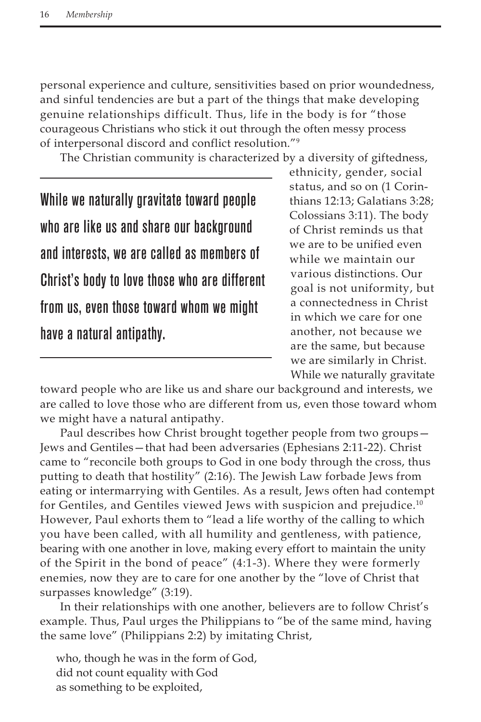personal experience and culture, sensitivities based on prior woundedness, and sinful tendencies are but a part of the things that make developing genuine relationships difficult. Thus, life in the body is for "those courageous Christians who stick it out through the often messy process of interpersonal discord and conflict resolution."9

The Christian community is characterized by a diversity of giftedness,

While we naturally gravitate toward people who are like us and share our background and interests, we are called as members of Christ's body to love those who are different from us, even those toward whom we might have a natural antipathy.

ethnicity, gender, social status, and so on (1 Corinthians 12:13; Galatians 3:28; Colossians 3:11). The body of Christ reminds us that we are to be unified even while we maintain our various distinctions. Our goal is not uniformity, but a connectedness in Christ in which we care for one another, not because we are the same, but because we are similarly in Christ. While we naturally gravitate

toward people who are like us and share our background and interests, we are called to love those who are different from us, even those toward whom we might have a natural antipathy.

Paul describes how Christ brought together people from two groups— Jews and Gentiles—that had been adversaries (Ephesians 2:11-22). Christ came to "reconcile both groups to God in one body through the cross, thus putting to death that hostility" (2:16). The Jewish Law forbade Jews from eating or intermarrying with Gentiles. As a result, Jews often had contempt for Gentiles, and Gentiles viewed Jews with suspicion and prejudice.<sup>10</sup> However, Paul exhorts them to "lead a life worthy of the calling to which you have been called, with all humility and gentleness, with patience, bearing with one another in love, making every effort to maintain the unity of the Spirit in the bond of peace" (4:1-3). Where they were formerly enemies, now they are to care for one another by the "love of Christ that surpasses knowledge" (3:19).

In their relationships with one another, believers are to follow Christ's example. Thus, Paul urges the Philippians to "be of the same mind, having the same love" (Philippians 2:2) by imitating Christ,

who, though he was in the form of God, did not count equality with God as something to be exploited,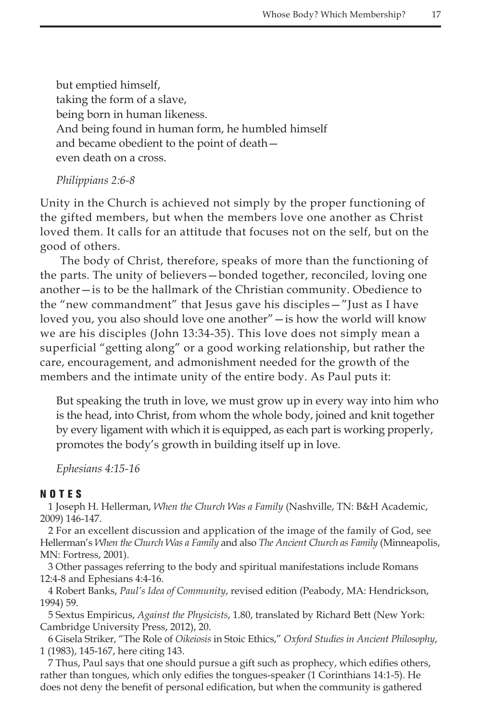but emptied himself, taking the form of a slave, being born in human likeness. And being found in human form, he humbled himself and became obedient to the point of death even death on a cross.

*Philippians 2:6-8*

Unity in the Church is achieved not simply by the proper functioning of the gifted members, but when the members love one another as Christ loved them. It calls for an attitude that focuses not on the self, but on the good of others.

The body of Christ, therefore, speaks of more than the functioning of the parts. The unity of believers—bonded together, reconciled, loving one another—is to be the hallmark of the Christian community. Obedience to the "new commandment" that Jesus gave his disciples—"Just as I have loved you, you also should love one another"—is how the world will know we are his disciples (John 13:34-35). This love does not simply mean a superficial "getting along" or a good working relationship, but rather the care, encouragement, and admonishment needed for the growth of the members and the intimate unity of the entire body. As Paul puts it:

But speaking the truth in love, we must grow up in every way into him who is the head, into Christ, from whom the whole body, joined and knit together by every ligament with which it is equipped, as each part is working properly, promotes the body's growth in building itself up in love.

*Ephesians 4:15-16*

#### NOTES

1 Joseph H. Hellerman, *When the Church Was a Family* (Nashville, TN: B&H Academic, 2009) 146-147.

2 For an excellent discussion and application of the image of the family of God, see Hellerman's *When the Church Was a Family* and also *The Ancient Church as Family* (Minneapolis, MN: Fortress, 2001).

3 Other passages referring to the body and spiritual manifestations include Romans 12:4-8 and Ephesians 4:4-16.

4 Robert Banks, *Paul's Idea of Community*, revised edition (Peabody, MA: Hendrickson, 1994) 59.

5 Sextus Empiricus, *Against the Physicists*, 1.80, translated by Richard Bett (New York: Cambridge University Press, 2012), 20.

6 Gisela Striker, "The Role of *Oikeiosis* in Stoic Ethics," *Oxford Studies in Ancient Philosophy*, 1 (1983), 145-167, here citing 143.

7 Thus, Paul says that one should pursue a gift such as prophecy, which edifies others, rather than tongues, which only edifies the tongues-speaker (1 Corinthians 14:1-5). He does not deny the benefit of personal edification, but when the community is gathered